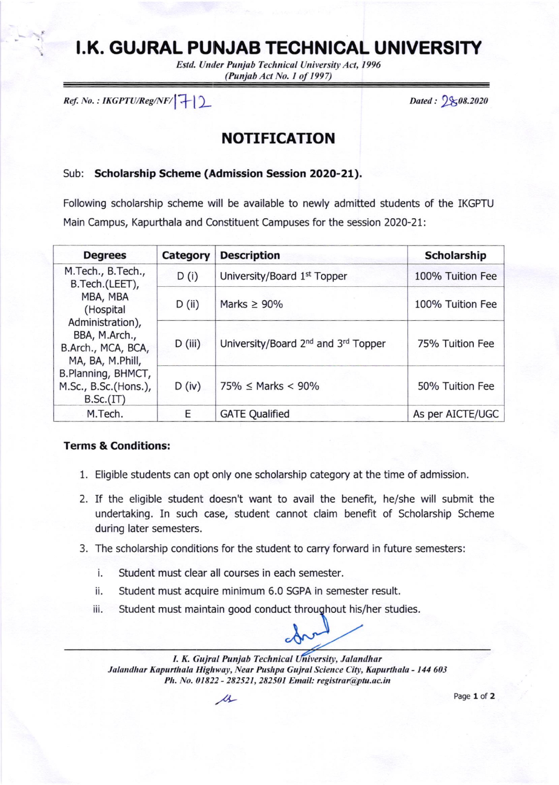# I.K. GUJRAL PUNJAB TECHNICAL UNIVERSITY

Estd. Under Punjab Technical University Act, 1996  $(Punjab Act No. 1 of 1997)$ 

 $Ref. No.: IKGPTU/Reg/NF/[+]$ 

### NOTIFICATION

#### Sub: Scholarship Scheme (Admission Session 2O2O-2L),

Following scholarship scheme will be available to newly admitted students of the IKGPTU Main Campus, Kapurthala and Constituent Campuses for the session 2020-21:

| <b>Degrees</b>                                                                                                                                                                                         | Category | <b>Description</b>                                          | <b>Scholarship</b> |
|--------------------------------------------------------------------------------------------------------------------------------------------------------------------------------------------------------|----------|-------------------------------------------------------------|--------------------|
| M.Tech., B.Tech.,<br>B.Tech.(LEET),<br>MBA, MBA<br>(Hospital<br>Administration),<br>BBA, M.Arch.,<br>B.Arch., MCA, BCA,<br>MA, BA, M.Phill,<br>B.Planning, BHMCT,<br>M.Sc., B.Sc.(Hons.),<br>B.Sc.(IT) | D(i)     | University/Board 1st Topper                                 | 100% Tuition Fee   |
|                                                                                                                                                                                                        | D (ii)   | Marks $\geq 90\%$                                           | 100% Tuition Fee   |
|                                                                                                                                                                                                        | D (iii)  | University/Board 2 <sup>nd</sup> and 3 <sup>rd</sup> Topper | 75% Tuition Fee    |
|                                                                                                                                                                                                        | D (iv)   | $75\% \leq$ Marks < 90%                                     | 50% Tuition Fee    |
| M.Tech.                                                                                                                                                                                                | E        | <b>GATE Qualified</b>                                       | As per AICTE/UGC   |

#### Terms & Conditions:

- 1. Eliglble students can opt only one scholarship category at the time of admission.
- 2. If the eligible student doesn't want to avail the benefit, he/she will submit the undertaking. In such case, student cannot claim benefit of Scholarship Scheme during later semesters.
- 3. The scholarship conditions for the student to carry forward in future semesters:
	- i. Student must clear all courses in each semester.
	- ii. Student must acquire minimum 6.0 SGPA in semester result.
	- iii. Student must maintain good conduct throughout his/her studies.

I. K. Gujral Punjab Technical University, Jalandhar Jalandhar Kapurthala Highway, Near Pushpa Gujral Science City, Kapurthala - 144 603 Ph. No. 01822 - 282521, 282501 Email: registrar@ptu.ac.in

 $\mu$  Page 1 of 2